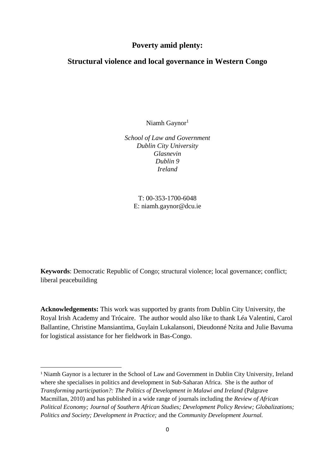# **Poverty amid plenty:**

## **Structural violence and local governance in Western Congo**

Niamh Gaynor<sup>1</sup>

*School of Law and Government Dublin City University Glasnevin Dublin 9 Ireland*

T: 00-353-1700-6048 E: [niamh.gaynor@dcu.ie](mailto:niamh.gaynor@dcu.ie)

**Keywords**: Democratic Republic of Congo; structural violence; local governance; conflict; liberal peacebuilding

**Acknowledgements:** This work was supported by grants from Dublin City University, the Royal Irish Academy and Trócaire. The author would also like to thank Léa Valentini, Carol Ballantine, Christine Mansiantima, Guylain Lukalansoni, Dieudonné Nzita and Julie Bavuma for logistical assistance for her fieldwork in Bas-Congo.

**.** 

<sup>1</sup> Niamh Gaynor is a lecturer in the School of Law and Government in Dublin City University, Ireland where she specialises in politics and development in Sub-Saharan Africa. She is the author of *Transforming participation?: The Politics of Development in Malawi and Ireland* (Palgrave Macmillan, 2010) and has published in a wide range of journals including the *Review of African Political Economy; Journal of Southern African Studies; Development Policy Review; Globalizations; Politics and Society; Development in Practice;* and the *Community Development Journal.*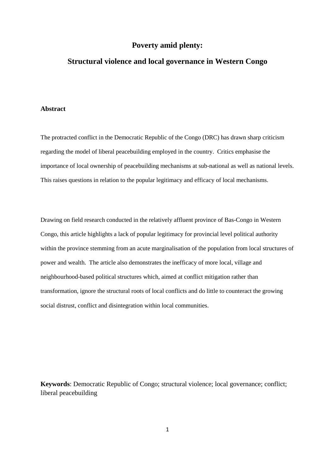## **Poverty amid plenty:**

## **Structural violence and local governance in Western Congo**

### **Abstract**

The protracted conflict in the Democratic Republic of the Congo (DRC) has drawn sharp criticism regarding the model of liberal peacebuilding employed in the country. Critics emphasise the importance of local ownership of peacebuilding mechanisms at sub-national as well as national levels. This raises questions in relation to the popular legitimacy and efficacy of local mechanisms.

Drawing on field research conducted in the relatively affluent province of Bas-Congo in Western Congo, this article highlights a lack of popular legitimacy for provincial level political authority within the province stemming from an acute marginalisation of the population from local structures of power and wealth. The article also demonstrates the inefficacy of more local, village and neighbourhood-based political structures which, aimed at conflict mitigation rather than transformation, ignore the structural roots of local conflicts and do little to counteract the growing social distrust, conflict and disintegration within local communities.

**Keywords**: Democratic Republic of Congo; structural violence; local governance; conflict; liberal peacebuilding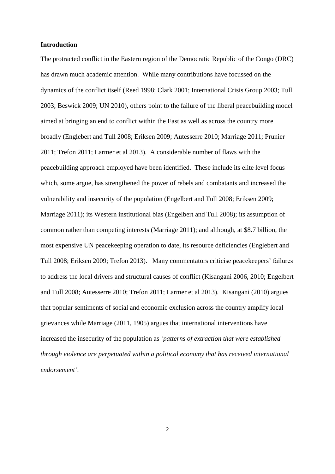### **Introduction**

The protracted conflict in the Eastern region of the Democratic Republic of the Congo (DRC) has drawn much academic attention. While many contributions have focussed on the dynamics of the conflict itself (Reed 1998; Clark 2001; International Crisis Group 2003; Tull 2003; Beswick 2009; UN 2010), others point to the failure of the liberal peacebuilding model aimed at bringing an end to conflict within the East as well as across the country more broadly (Englebert and Tull 2008; Eriksen 2009; Autesserre 2010; Marriage 2011; Prunier 2011; Trefon 2011; Larmer et al 2013). A considerable number of flaws with the peacebuilding approach employed have been identified. These include its elite level focus which, some argue, has strengthened the power of rebels and combatants and increased the vulnerability and insecurity of the population (Engelbert and Tull 2008; Eriksen 2009; Marriage 2011); its Western institutional bias (Engelbert and Tull 2008); its assumption of common rather than competing interests (Marriage 2011); and although, at \$8.7 billion, the most expensive UN peacekeeping operation to date, its resource deficiencies (Englebert and Tull 2008; Eriksen 2009; Trefon 2013). Many commentators criticise peacekeepers' failures to address the local drivers and structural causes of conflict (Kisangani 2006, 2010; Engelbert and Tull 2008; Autesserre 2010; Trefon 2011; Larmer et al 2013). Kisangani (2010) argues that popular sentiments of social and economic exclusion across the country amplify local grievances while Marriage (2011, 1905) argues that international interventions have increased the insecurity of the population as *'patterns of extraction that were established through violence are perpetuated within a political economy that has received international endorsement'*.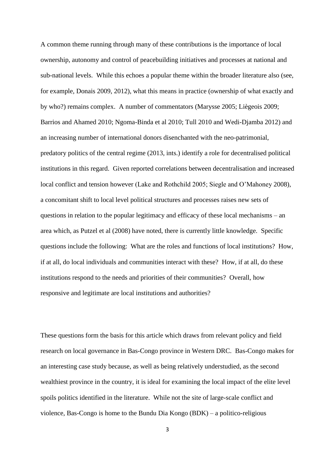A common theme running through many of these contributions is the importance of local ownership, autonomy and control of peacebuilding initiatives and processes at national and sub-national levels. While this echoes a popular theme within the broader literature also (see, for example, Donais 2009, 2012), what this means in practice (ownership of what exactly and by who?) remains complex. A number of commentators (Marysse 2005; Liègeois 2009; Barrios and Ahamed 2010; Ngoma-Binda et al 2010; Tull 2010 and Wedi-Djamba 2012) and an increasing number of international donors disenchanted with the neo-patrimonial, predatory politics of the central regime (2013, ints.) identify a role for decentralised political institutions in this regard. Given reported correlations between decentralisation and increased local conflict and tension however (Lake and Rothchild 2005; Siegle and O'Mahoney 2008), a concomitant shift to local level political structures and processes raises new sets of questions in relation to the popular legitimacy and efficacy of these local mechanisms – an area which, as Putzel et al (2008) have noted, there is currently little knowledge. Specific questions include the following: What are the roles and functions of local institutions? How, if at all, do local individuals and communities interact with these? How, if at all, do these institutions respond to the needs and priorities of their communities? Overall, how responsive and legitimate are local institutions and authorities?

These questions form the basis for this article which draws from relevant policy and field research on local governance in Bas-Congo province in Western DRC. Bas-Congo makes for an interesting case study because, as well as being relatively understudied, as the second wealthiest province in the country, it is ideal for examining the local impact of the elite level spoils politics identified in the literature. While not the site of large-scale conflict and violence, Bas-Congo is home to the Bundu Dia Kongo (BDK) – a politico-religious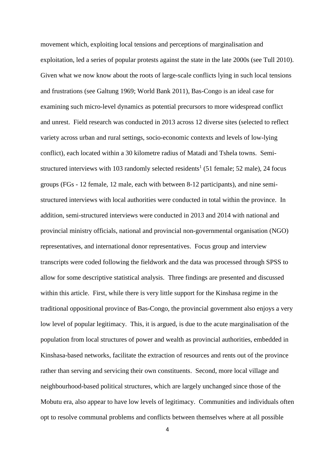movement which, exploiting local tensions and perceptions of marginalisation and exploitation, led a series of popular protests against the state in the late 2000s (see Tull 2010). Given what we now know about the roots of large-scale conflicts lying in such local tensions and frustrations (see Galtung 1969; World Bank 2011), Bas-Congo is an ideal case for examining such micro-level dynamics as potential precursors to more widespread conflict and unrest. Field research was conducted in 2013 across 12 diverse sites (selected to reflect variety across urban and rural settings, socio-economic contexts and levels of low-lying conflict), each located within a 30 kilometre radius of Matadi and Tshela towns. Semistructured interviews with 103 randomly selected residents<sup>1</sup> (51 female; 52 male), 24 focus groups (FGs - 12 female, 12 male, each with between 8-12 participants), and nine semistructured interviews with local authorities were conducted in total within the province. In addition, semi-structured interviews were conducted in 2013 and 2014 with national and provincial ministry officials, national and provincial non-governmental organisation (NGO) representatives, and international donor representatives. Focus group and interview transcripts were coded following the fieldwork and the data was processed through SPSS to allow for some descriptive statistical analysis. Three findings are presented and discussed within this article. First, while there is very little support for the Kinshasa regime in the traditional oppositional province of Bas-Congo, the provincial government also enjoys a very low level of popular legitimacy. This, it is argued, is due to the acute marginalisation of the population from local structures of power and wealth as provincial authorities, embedded in Kinshasa-based networks, facilitate the extraction of resources and rents out of the province rather than serving and servicing their own constituents. Second, more local village and neighbourhood-based political structures, which are largely unchanged since those of the Mobutu era, also appear to have low levels of legitimacy. Communities and individuals often opt to resolve communal problems and conflicts between themselves where at all possible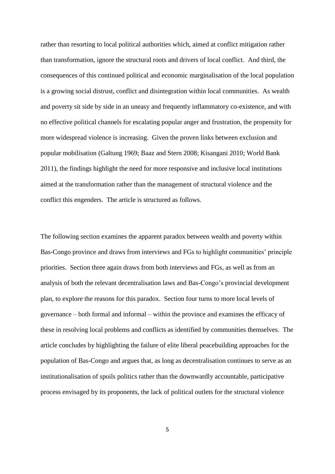rather than resorting to local political authorities which, aimed at conflict mitigation rather than transformation, ignore the structural roots and drivers of local conflict. And third, the consequences of this continued political and economic marginalisation of the local population is a growing social distrust, conflict and disintegration within local communities. As wealth and poverty sit side by side in an uneasy and frequently inflammatory co-existence, and with no effective political channels for escalating popular anger and frustration, the propensity for more widespread violence is increasing. Given the proven links between exclusion and popular mobilisation (Galtung 1969; Baaz and Stern 2008; Kisangani 2010; World Bank 2011), the findings highlight the need for more responsive and inclusive local institutions aimed at the transformation rather than the management of structural violence and the conflict this engenders. The article is structured as follows.

The following section examines the apparent paradox between wealth and poverty within Bas-Congo province and draws from interviews and FGs to highlight communities' principle priorities. Section three again draws from both interviews and FGs, as well as from an analysis of both the relevant decentralisation laws and Bas-Congo's provincial development plan, to explore the reasons for this paradox. Section four turns to more local levels of governance – both formal and informal – within the province and examines the efficacy of these in resolving local problems and conflicts as identified by communities themselves. The article concludes by highlighting the failure of elite liberal peacebuilding approaches for the population of Bas-Congo and argues that, as long as decentralisation continues to serve as an institutionalisation of spoils politics rather than the downwardly accountable, participative process envisaged by its proponents, the lack of political outlets for the structural violence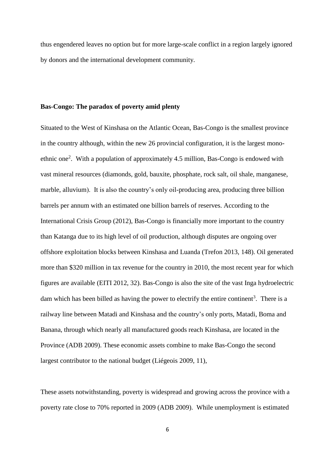thus engendered leaves no option but for more large-scale conflict in a region largely ignored by donors and the international development community.

#### **Bas-Congo: The paradox of poverty amid plenty**

Situated to the West of Kinshasa on the Atlantic Ocean, Bas-Congo is the smallest province in the country although, within the new 26 provincial configuration, it is the largest monoethnic one<sup>2</sup>. With a population of approximately 4.5 million, Bas-Congo is endowed with vast mineral resources (diamonds, gold, bauxite, phosphate, rock salt, oil shale, manganese, marble, alluvium). It is also the country's only oil-producing area, producing three billion barrels per annum with an estimated one billion barrels of reserves. According to the International Crisis Group (2012), Bas-Congo is financially more important to the country than Katanga due to its high level of oil production, although disputes are ongoing over offshore exploitation blocks between Kinshasa and Luanda (Trefon 2013, 148). Oil generated more than \$320 million in tax revenue for the country in 2010, the most recent year for which figures are available (EITI 2012, 32). Bas-Congo is also the site of the vast Inga hydroelectric dam which has been billed as having the power to electrify the entire continent<sup>3</sup>. There is a railway line between Matadi and Kinshasa and the country's only ports, Matadi, Boma and Banana, through which nearly all manufactured goods reach Kinshasa, are located in the Province (ADB 2009). These economic assets combine to make Bas-Congo the second largest contributor to the national budget (Liégeois 2009, 11),

These assets notwithstanding, poverty is widespread and growing across the province with a poverty rate close to 70% reported in 2009 (ADB 2009). While unemployment is estimated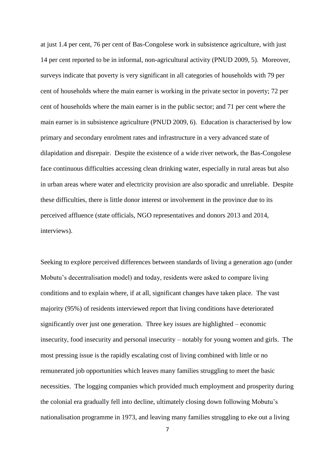at just 1.4 per cent, 76 per cent of Bas-Congolese work in subsistence agriculture, with just 14 per cent reported to be in informal, non-agricultural activity (PNUD 2009, 5). Moreover, surveys indicate that poverty is very significant in all categories of households with 79 per cent of households where the main earner is working in the private sector in poverty; 72 per cent of households where the main earner is in the public sector; and 71 per cent where the main earner is in subsistence agriculture (PNUD 2009, 6). Education is characterised by low primary and secondary enrolment rates and infrastructure in a very advanced state of dilapidation and disrepair. Despite the existence of a wide river network, the Bas-Congolese face continuous difficulties accessing clean drinking water, especially in rural areas but also in urban areas where water and electricity provision are also sporadic and unreliable. Despite these difficulties, there is little donor interest or involvement in the province due to its perceived affluence (state officials, NGO representatives and donors 2013 and 2014, interviews).

Seeking to explore perceived differences between standards of living a generation ago (under Mobutu's decentralisation model) and today, residents were asked to compare living conditions and to explain where, if at all, significant changes have taken place. The vast majority (95%) of residents interviewed report that living conditions have deteriorated significantly over just one generation. Three key issues are highlighted – economic insecurity, food insecurity and personal insecurity – notably for young women and girls. The most pressing issue is the rapidly escalating cost of living combined with little or no remunerated job opportunities which leaves many families struggling to meet the basic necessities. The logging companies which provided much employment and prosperity during the colonial era gradually fell into decline, ultimately closing down following Mobutu's nationalisation programme in 1973, and leaving many families struggling to eke out a living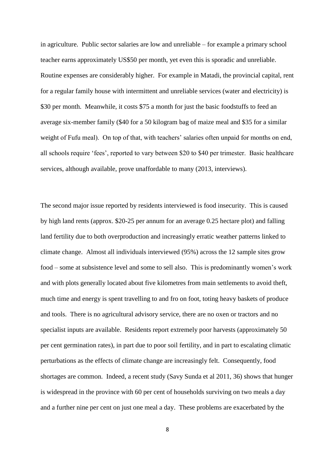in agriculture. Public sector salaries are low and unreliable – for example a primary school teacher earns approximately US\$50 per month, yet even this is sporadic and unreliable. Routine expenses are considerably higher. For example in Matadi, the provincial capital, rent for a regular family house with intermittent and unreliable services (water and electricity) is \$30 per month. Meanwhile, it costs \$75 a month for just the basic foodstuffs to feed an average six-member family (\$40 for a 50 kilogram bag of maize meal and \$35 for a similar weight of Fufu meal). On top of that, with teachers' salaries often unpaid for months on end, all schools require 'fees', reported to vary between \$20 to \$40 per trimester. Basic healthcare services, although available, prove unaffordable to many (2013, interviews).

The second major issue reported by residents interviewed is food insecurity. This is caused by high land rents (approx. \$20-25 per annum for an average 0.25 hectare plot) and falling land fertility due to both overproduction and increasingly erratic weather patterns linked to climate change. Almost all individuals interviewed (95%) across the 12 sample sites grow food – some at subsistence level and some to sell also. This is predominantly women's work and with plots generally located about five kilometres from main settlements to avoid theft, much time and energy is spent travelling to and fro on foot, toting heavy baskets of produce and tools. There is no agricultural advisory service, there are no oxen or tractors and no specialist inputs are available. Residents report extremely poor harvests (approximately 50 per cent germination rates), in part due to poor soil fertility, and in part to escalating climatic perturbations as the effects of climate change are increasingly felt. Consequently, food shortages are common. Indeed, a recent study (Savy Sunda et al 2011, 36) shows that hunger is widespread in the province with 60 per cent of households surviving on two meals a day and a further nine per cent on just one meal a day. These problems are exacerbated by the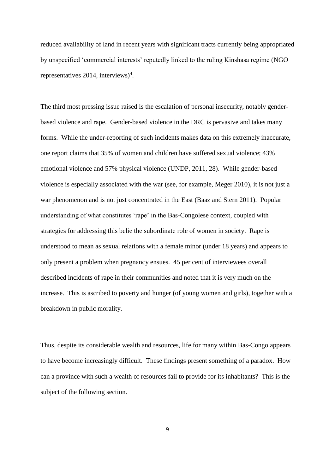reduced availability of land in recent years with significant tracts currently being appropriated by unspecified 'commercial interests' reputedly linked to the ruling Kinshasa regime (NGO representatives 2014, interviews)<sup>4</sup>.

The third most pressing issue raised is the escalation of personal insecurity, notably genderbased violence and rape. Gender-based violence in the DRC is pervasive and takes many forms. While the under-reporting of such incidents makes data on this extremely inaccurate, one report claims that 35% of women and children have suffered sexual violence; 43% emotional violence and 57% physical violence (UNDP, 2011, 28). While gender-based violence is especially associated with the war (see, for example, Meger 2010), it is not just a war phenomenon and is not just concentrated in the East (Baaz and Stern 2011). Popular understanding of what constitutes 'rape' in the Bas-Congolese context, coupled with strategies for addressing this belie the subordinate role of women in society. Rape is understood to mean as sexual relations with a female minor (under 18 years) and appears to only present a problem when pregnancy ensues. 45 per cent of interviewees overall described incidents of rape in their communities and noted that it is very much on the increase. This is ascribed to poverty and hunger (of young women and girls), together with a breakdown in public morality.

Thus, despite its considerable wealth and resources, life for many within Bas-Congo appears to have become increasingly difficult. These findings present something of a paradox. How can a province with such a wealth of resources fail to provide for its inhabitants? This is the subject of the following section.

9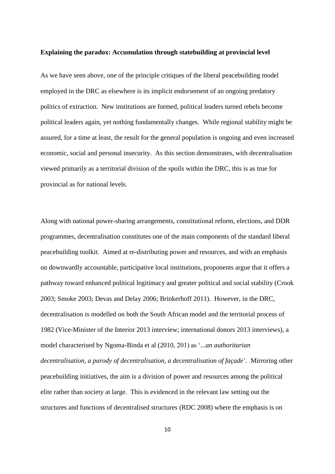#### **Explaining the paradox: Accumulation through statebuilding at provincial level**

As we have seen above, one of the principle critiques of the liberal peacebuilding model employed in the DRC as elsewhere is its implicit endorsement of an ongoing predatory politics of extraction. New institutions are formed, political leaders turned rebels become political leaders again, yet nothing fundamentally changes. While regional stability might be assured, for a time at least, the result for the general population is ongoing and even increased economic, social and personal insecurity. As this section demonstrates, with decentralisation viewed primarily as a territorial division of the spoils within the DRC, this is as true for provincial as for national levels.

Along with national power-sharing arrangements, constitutional reform, elections, and DDR programmes, decentralisation constitutes one of the main components of the standard liberal peacebuilding toolkit. Aimed at re-distributing power and resources, and with an emphasis on downwardly accountable, participative local institutions, proponents argue that it offers a pathway toward enhanced political legitimacy and greater political and social stability (Crook 2003; Smoke 2003; Devas and Delay 2006; Brinkerhoff 2011). However, in the DRC, decentralisation is modelled on both the South African model and the territorial process of 1982 (Vice-Minister of the Interior 2013 interview; international donors 2013 interviews), a model characterised by Ngoma-Binda et al (2010, 201) as '...*an authoritarian decentralisation, a parody of decentralisation, a decentralisation of façade*'. Mirroring other peacebuilding initiatives, the aim is a division of power and resources among the political elite rather than society at large. This is evidenced in the relevant law setting out the structures and functions of decentralised structures (RDC 2008) where the emphasis is on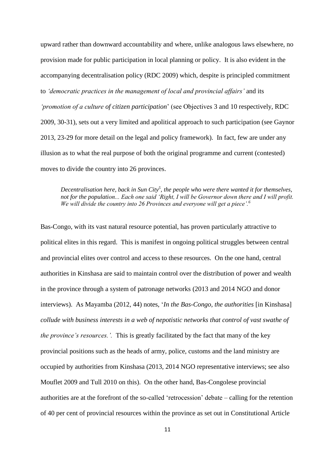upward rather than downward accountability and where, unlike analogous laws elsewhere, no provision made for public participation in local planning or policy. It is also evident in the accompanying decentralisation policy (RDC 2009) which, despite is principled commitment to *'democratic practices in the management of local and provincial affairs'* and its *'promotion of a culture of citizen participation*' (see Objectives 3 and 10 respectively, RDC 2009, 30-31), sets out a very limited and apolitical approach to such participation (see Gaynor 2013, 23-29 for more detail on the legal and policy framework). In fact, few are under any illusion as to what the real purpose of both the original programme and current (contested) moves to divide the country into 26 provinces.

*Decentralisation here, back in Sun City<sup>5</sup> , the people who were there wanted it for themselves, not for the population... Each one said 'Right, I will be Governor down there and I will profit. We will divide the country into 26 Provinces and everyone will get a piece'.<sup>6</sup>*

Bas-Congo, with its vast natural resource potential, has proven particularly attractive to political elites in this regard. This is manifest in ongoing political struggles between central and provincial elites over control and access to these resources. On the one hand, central authorities in Kinshasa are said to maintain control over the distribution of power and wealth in the province through a system of patronage networks (2013 and 2014 NGO and donor interviews). As Mayamba (2012, 44) notes, '*In the Bas-Congo, the authorities* [in Kinshasa] *collude with business interests in a web of nepotistic networks that control of vast swathe of the province's resources.'.* This is greatly facilitated by the fact that many of the key provincial positions such as the heads of army, police, customs and the land ministry are occupied by authorities from Kinshasa (2013, 2014 NGO representative interviews; see also Mouflet 2009 and Tull 2010 on this). On the other hand, Bas-Congolese provincial authorities are at the forefront of the so-called 'retrocession' debate – calling for the retention of 40 per cent of provincial resources within the province as set out in Constitutional Article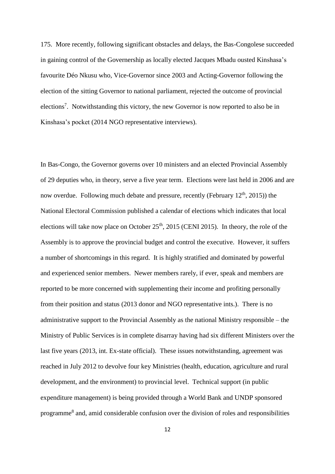175. More recently, following significant obstacles and delays, the Bas-Congolese succeeded in gaining control of the Governership as locally elected Jacques Mbadu ousted Kinshasa's favourite Déo Nkusu who, Vice-Governor since 2003 and Acting-Governor following the election of the sitting Governor to national parliament, rejected the outcome of provincial elections<sup>7</sup>. Notwithstanding this victory, the new Governor is now reported to also be in Kinshasa's pocket (2014 NGO representative interviews).

In Bas-Congo, the Governor governs over 10 ministers and an elected Provincial Assembly of 29 deputies who, in theory, serve a five year term. Elections were last held in 2006 and are now overdue. Following much debate and pressure, recently (February  $12<sup>th</sup>$ , 2015)) the National Electoral Commission published a calendar of elections which indicates that local elections will take now place on October  $25<sup>th</sup>$ , 2015 (CENI 2015). In theory, the role of the Assembly is to approve the provincial budget and control the executive. However, it suffers a number of shortcomings in this regard. It is highly stratified and dominated by powerful and experienced senior members. Newer members rarely, if ever, speak and members are reported to be more concerned with supplementing their income and profiting personally from their position and status (2013 donor and NGO representative ints.). There is no administrative support to the Provincial Assembly as the national Ministry responsible – the Ministry of Public Services is in complete disarray having had six different Ministers over the last five years (2013, int. Ex-state official). These issues notwithstanding, agreement was reached in July 2012 to devolve four key Ministries (health, education, agriculture and rural development, and the environment) to provincial level. Technical support (in public expenditure management) is being provided through a World Bank and UNDP sponsored programme<sup>8</sup> and, amid considerable confusion over the division of roles and responsibilities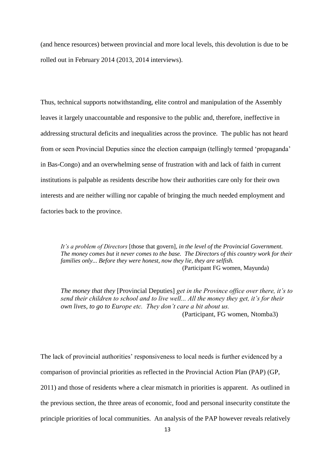(and hence resources) between provincial and more local levels, this devolution is due to be rolled out in February 2014 (2013, 2014 interviews).

Thus, technical supports notwithstanding, elite control and manipulation of the Assembly leaves it largely unaccountable and responsive to the public and, therefore, ineffective in addressing structural deficits and inequalities across the province. The public has not heard from or seen Provincial Deputies since the election campaign (tellingly termed 'propaganda' in Bas-Congo) and an overwhelming sense of frustration with and lack of faith in current institutions is palpable as residents describe how their authorities care only for their own interests and are neither willing nor capable of bringing the much needed employment and factories back to the province.

*It's a problem of Directors* [those that govern]*, in the level of the Provincial Government. The money comes but it never comes to the base. The Directors of this country work for their families only... Before they were honest, now they lie, they are selfish.* (Participant FG women, Mayunda)

*The money that they* [Provincial Deputies] *get in the Province office over there, it's to send their children to school and to live well... All the money they get, it's for their own lives, to go to Europe etc. They don't care a bit about us.*  (Participant, FG women, Ntomba3)

The lack of provincial authorities' responsiveness to local needs is further evidenced by a comparison of provincial priorities as reflected in the Provincial Action Plan (PAP) (GP, 2011) and those of residents where a clear mismatch in priorities is apparent. As outlined in the previous section, the three areas of economic, food and personal insecurity constitute the principle priorities of local communities. An analysis of the PAP however reveals relatively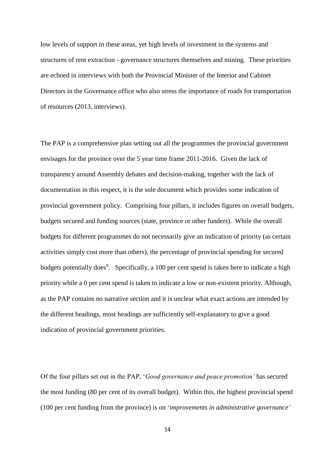low levels of support in these areas, yet high levels of investment in the systems and structures of rent extraction - governance structures themselves and mining. These priorities are echoed in interviews with both the Provincial Minister of the Interior and Cabinet Directors in the Governance office who also stress the importance of roads for transportation of resources (2013, interviews).

The PAP is a comprehensive plan setting out all the programmes the provincial government envisages for the province over the 5 year time frame 2011-2016. Given the lack of transparency around Assembly debates and decision-making, together with the lack of documentation in this respect, it is the sole document which provides some indication of provincial government policy. Comprising four pillars, it includes figures on overall budgets, budgets secured and funding sources (state, province or other funders). While the overall budgets for different programmes do not necessarily give an indication of priority (as certain activities simply cost more than others), the percentage of provincial spending for secured budgets potentially does<sup>9</sup>. Specifically, a 100 per cent spend is taken here to indicate a high priority while a 0 per cent spend is taken to indicate a low or non-existent priority. Although, as the PAP contains no narrative section and it is unclear what exact actions are intended by the different headings, most headings are sufficiently self-explanatory to give a good indication of provincial government priorities.

Of the four pillars set out in the PAP, '*Good governance and peace promotion'* has secured the most funding (80 per cent of its overall budget). Within this, the highest provincial spend (100 per cent funding from the province) is on '*improvements in administrative governance'*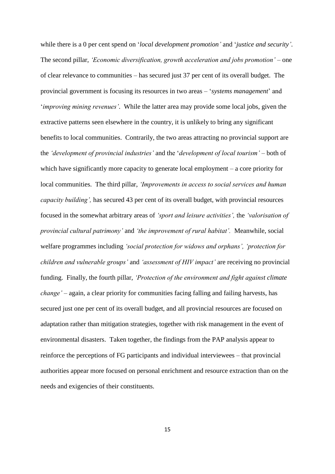while there is a 0 per cent spend on '*local development promotion'* and '*justice and security'*. The second pillar, *'Economic diversification, growth acceleration and jobs promotion' –* one of clear relevance to communities – has secured just 37 per cent of its overall budget. The provincial government is focusing its resources in two areas – '*systems management*' and '*improving mining revenues'*. While the latter area may provide some local jobs, given the extractive patterns seen elsewhere in the country, it is unlikely to bring any significant benefits to local communities. Contrarily, the two areas attracting no provincial support are the *'development of provincial industries'* and the '*development of local tourism'* – both of which have significantly more capacity to generate local employment – a core priority for local communities. The third pillar, *'Improvements in access to social services and human capacity building',* has secured 43 per cent of its overall budget, with provincial resources focused in the somewhat arbitrary areas of *'sport and leisure activities',* the *'valorisation of provincial cultural patrimony'* and *'the improvement of rural habitat'.* Meanwhile, social welfare programmes including *'social protection for widows and orphans', 'protection for children and vulnerable groups'* and *'assessment of HIV impact'* are receiving no provincial funding. Finally, the fourth pillar, *'Protection of the environment and fight against climate change' –* again, a clear priority for communities facing falling and failing harvests, has secured just one per cent of its overall budget, and all provincial resources are focused on adaptation rather than mitigation strategies, together with risk management in the event of environmental disasters. Taken together, the findings from the PAP analysis appear to reinforce the perceptions of FG participants and individual interviewees – that provincial authorities appear more focused on personal enrichment and resource extraction than on the needs and exigencies of their constituents.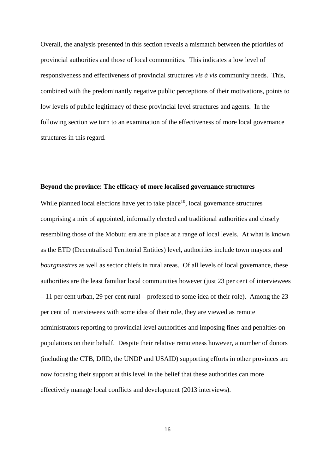Overall, the analysis presented in this section reveals a mismatch between the priorities of provincial authorities and those of local communities. This indicates a low level of responsiveness and effectiveness of provincial structures *vis à vis* community needs. This, combined with the predominantly negative public perceptions of their motivations, points to low levels of public legitimacy of these provincial level structures and agents. In the following section we turn to an examination of the effectiveness of more local governance structures in this regard.

### **Beyond the province: The efficacy of more localised governance structures**

While planned local elections have yet to take place $10$ , local governance structures comprising a mix of appointed, informally elected and traditional authorities and closely resembling those of the Mobutu era are in place at a range of local levels. At what is known as the ETD (Decentralised Territorial Entities) level, authorities include town mayors and *bourgmestres* as well as sector chiefs in rural areas. Of all levels of local governance, these authorities are the least familiar local communities however (just 23 per cent of interviewees – 11 per cent urban, 29 per cent rural – professed to some idea of their role). Among the 23 per cent of interviewees with some idea of their role, they are viewed as remote administrators reporting to provincial level authorities and imposing fines and penalties on populations on their behalf. Despite their relative remoteness however, a number of donors (including the CTB, DfID, the UNDP and USAID) supporting efforts in other provinces are now focusing their support at this level in the belief that these authorities can more effectively manage local conflicts and development (2013 interviews).

16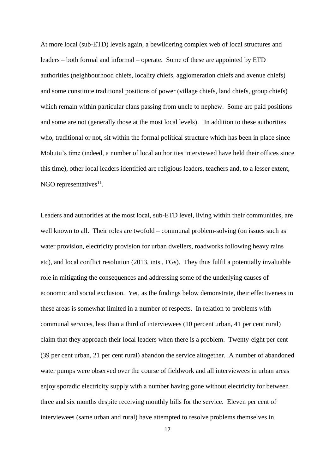At more local (sub-ETD) levels again, a bewildering complex web of local structures and leaders – both formal and informal – operate. Some of these are appointed by ETD authorities (neighbourhood chiefs, locality chiefs, agglomeration chiefs and avenue chiefs) and some constitute traditional positions of power (village chiefs, land chiefs, group chiefs) which remain within particular clans passing from uncle to nephew. Some are paid positions and some are not (generally those at the most local levels). In addition to these authorities who, traditional or not, sit within the formal political structure which has been in place since Mobutu's time (indeed, a number of local authorities interviewed have held their offices since this time), other local leaders identified are religious leaders, teachers and, to a lesser extent, NGO representatives $^{11}$ .

Leaders and authorities at the most local, sub-ETD level, living within their communities, are well known to all. Their roles are twofold – communal problem-solving (on issues such as water provision, electricity provision for urban dwellers, roadworks following heavy rains etc), and local conflict resolution (2013, ints., FGs). They thus fulfil a potentially invaluable role in mitigating the consequences and addressing some of the underlying causes of economic and social exclusion. Yet, as the findings below demonstrate, their effectiveness in these areas is somewhat limited in a number of respects. In relation to problems with communal services, less than a third of interviewees (10 percent urban, 41 per cent rural) claim that they approach their local leaders when there is a problem. Twenty-eight per cent (39 per cent urban, 21 per cent rural) abandon the service altogether. A number of abandoned water pumps were observed over the course of fieldwork and all interviewees in urban areas enjoy sporadic electricity supply with a number having gone without electricity for between three and six months despite receiving monthly bills for the service. Eleven per cent of interviewees (same urban and rural) have attempted to resolve problems themselves in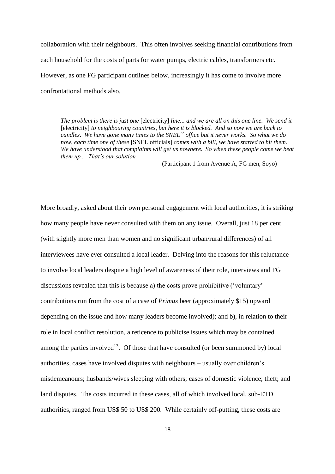collaboration with their neighbours. This often involves seeking financial contributions from each household for the costs of parts for water pumps, electric cables, transformers etc. However, as one FG participant outlines below, increasingly it has come to involve more confrontational methods also.

*The problem is there is just one* [electricity] *line... and we are all on this one line. We send it*  [electricity] *to neighbouring countries, but here it is blocked. And so now we are back to candles*. *We have gone many times to the SNEL<sup>12</sup> office but it never works. So what we do now, each time one of these* [SNEL officials] *comes with a bill, we have started to hit them. We have understood that complaints will get us nowhere. So when these people come we beat them up... That's our solution*

(Participant 1 from Avenue A, FG men, Soyo)

More broadly, asked about their own personal engagement with local authorities, it is striking how many people have never consulted with them on any issue. Overall, just 18 per cent (with slightly more men than women and no significant urban/rural differences) of all interviewees have ever consulted a local leader. Delving into the reasons for this reluctance to involve local leaders despite a high level of awareness of their role, interviews and FG discussions revealed that this is because a) the costs prove prohibitive ('voluntary' contributions run from the cost of a case of *Primus* beer (approximately \$15) upward depending on the issue and how many leaders become involved); and b), in relation to their role in local conflict resolution, a reticence to publicise issues which may be contained among the parties involved<sup>13</sup>. Of those that have consulted (or been summoned by) local authorities, cases have involved disputes with neighbours – usually over children's misdemeanours; husbands/wives sleeping with others; cases of domestic violence; theft; and land disputes. The costs incurred in these cases, all of which involved local, sub-ETD authorities, ranged from US\$ 50 to US\$ 200. While certainly off-putting, these costs are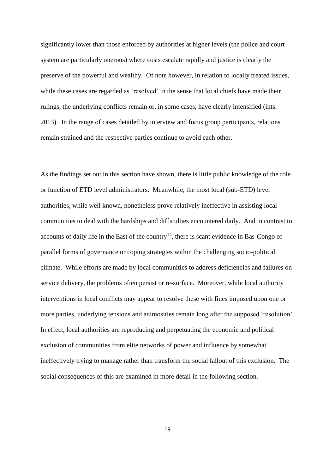significantly lower than those enforced by authorities at higher levels (the police and court system are particularly onerous) where costs escalate rapidly and justice is clearly the preserve of the powerful and wealthy. Of note however, in relation to locally treated issues, while these cases are regarded as 'resolved' in the sense that local chiefs have made their rulings, the underlying conflicts remain or, in some cases, have clearly intensified (ints. 2013). In the range of cases detailed by interview and focus group participants, relations remain strained and the respective parties continue to avoid each other.

As the findings set out in this section have shown, there is little public knowledge of the role or function of ETD level administrators. Meanwhile, the most local (sub-ETD) level authorities, while well known, nonetheless prove relatively ineffective in assisting local communities to deal with the hardships and difficulties encountered daily. And in contrast to accounts of daily life in the East of the country<sup>14</sup>, there is scant evidence in Bas-Congo of parallel forms of governance or coping strategies within the challenging socio-political climate. While efforts are made by local communities to address deficiencies and failures on service delivery, the problems often persist or re-surface. Moreover, while local authority interventions in local conflicts may appear to resolve these with fines imposed upon one or more parties, underlying tensions and animosities remain long after the supposed 'resolution'. In effect, local authorities are reproducing and perpetuating the economic and political exclusion of communities from elite networks of power and influence by somewhat ineffectively trying to manage rather than transform the social fallout of this exclusion. The social consequences of this are examined in more detail in the following section.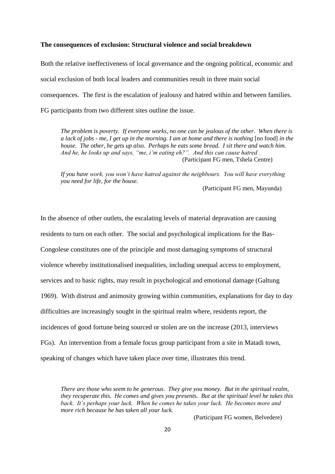### **The consequences of exclusion: Structural violence and social breakdown**

Both the relative ineffectiveness of local governance and the ongoing political, economic and social exclusion of both local leaders and communities result in three main social consequences. The first is the escalation of jealousy and hatred within and between families. FG participants from two different sites outline the issue.

*The problem is poverty. If everyone works, no one can be jealous of the other. When there is a lack of jobs - me, I get up in the morning. I am at home and there is nothing* [no food] *in the house. The other, he gets up also. Perhaps he eats some bread. I sit there and watch him. And he, he looks up and says, "me, i'm eating eh?". And this can cause hatred .*  (Participant FG men, Tshela Centre)

*If you have work, you won't have hatred against the neighbours. You will have everything you need for life, for the house.*

(Participant FG men, Mayunda)

In the absence of other outlets, the escalating levels of material depravation are causing residents to turn on each other. The social and psychological implications for the Bas-Congolese constitutes one of the principle and most damaging symptoms of structural violence whereby institutionalised inequalities, including unequal access to employment, services and to basic rights, may result in psychological and emotional damage (Galtung 1969). With distrust and animosity growing within communities, explanations for day to day difficulties are increasingly sought in the spiritual realm where, residents report, the incidences of good fortune being sourced or stolen are on the increase (2013, interviews FGs). An intervention from a female focus group participant from a site in Matadi town, speaking of changes which have taken place over time, illustrates this trend.

*There are those who seem to be generous. They give you money. But in the spiritual realm, they recuperate this. He comes and gives you presents. But at the spiritual level he takes this back. It's perhaps your luck. When he comes he takes your luck. He becomes more and more rich because he has taken all your luck.* 

(Participant FG women, Belvedere)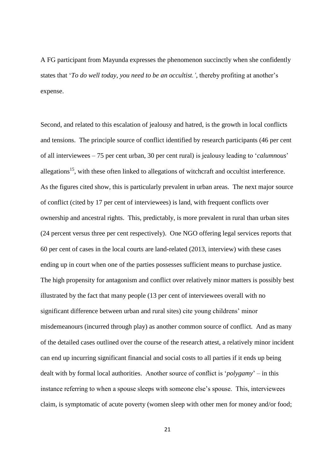A FG participant from Mayunda expresses the phenomenon succinctly when she confidently states that '*To do well today, you need to be an occultist.',* thereby profiting at another's expense.

Second, and related to this escalation of jealousy and hatred, is the growth in local conflicts and tensions. The principle source of conflict identified by research participants (46 per cent of all interviewees – 75 per cent urban, 30 per cent rural) is jealousy leading to '*calumnous*' allegations<sup>15</sup>, with these often linked to allegations of witchcraft and occultist interference. As the figures cited show, this is particularly prevalent in urban areas. The next major source of conflict (cited by 17 per cent of interviewees) is land, with frequent conflicts over ownership and ancestral rights. This, predictably, is more prevalent in rural than urban sites (24 percent versus three per cent respectively). One NGO offering legal services reports that 60 per cent of cases in the local courts are land-related (2013, interview) with these cases ending up in court when one of the parties possesses sufficient means to purchase justice. The high propensity for antagonism and conflict over relatively minor matters is possibly best illustrated by the fact that many people (13 per cent of interviewees overall with no significant difference between urban and rural sites) cite young childrens' minor misdemeanours (incurred through play) as another common source of conflict. And as many of the detailed cases outlined over the course of the research attest, a relatively minor incident can end up incurring significant financial and social costs to all parties if it ends up being dealt with by formal local authorities. Another source of conflict is '*polygamy*' – in this instance referring to when a spouse sleeps with someone else's spouse. This, interviewees claim, is symptomatic of acute poverty (women sleep with other men for money and/or food;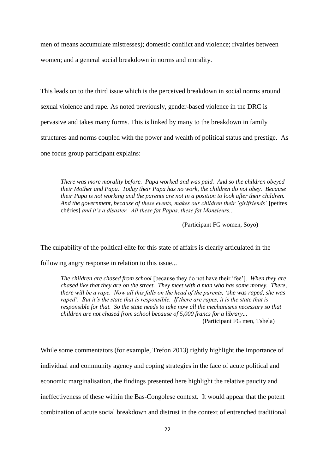men of means accumulate mistresses); domestic conflict and violence; rivalries between women; and a general social breakdown in norms and morality.

This leads on to the third issue which is the perceived breakdown in social norms around sexual violence and rape. As noted previously, gender-based violence in the DRC is pervasive and takes many forms. This is linked by many to the breakdown in family structures and norms coupled with the power and wealth of political status and prestige. As one focus group participant explains:

*There was more morality before. Papa worked and was paid. And so the children obeyed their Mother and Papa. Today their Papa has no work, the children do not obey. Because their Papa is not working and the parents are not in a position to look after their children.*  And the government, because of these events, makes our children their 'girlfriends' [petites chéries] *and it's a disaster. All these fat Papas, these fat Monsieurs...*

(Participant FG women, Soyo)

The culpability of the political elite for this state of affairs is clearly articulated in the

following angry response in relation to this issue...

*The children are chased from school* [because they do not have their 'fee']*. When they are chased like that they are on the street. They meet with a man who has some money. There, there will be a rape. Now all this falls on the head of the parents, 'she was raped, she was raped'. But it's the state that is responsible. If there are rapes, it is the state that is responsible for that. So the state needs to take now all the mechanisms necessary so that children are not chased from school because of 5,000 francs for a library...*  (Participant FG men, Tshela)

While some commentators (for example, Trefon 2013) rightly highlight the importance of individual and community agency and coping strategies in the face of acute political and economic marginalisation, the findings presented here highlight the relative paucity and ineffectiveness of these within the Bas-Congolese context. It would appear that the potent combination of acute social breakdown and distrust in the context of entrenched traditional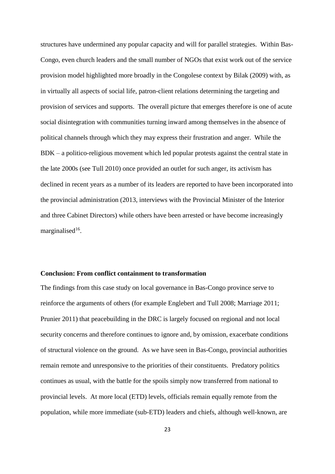structures have undermined any popular capacity and will for parallel strategies. Within Bas-Congo, even church leaders and the small number of NGOs that exist work out of the service provision model highlighted more broadly in the Congolese context by Bilak (2009) with, as in virtually all aspects of social life, patron-client relations determining the targeting and provision of services and supports. The overall picture that emerges therefore is one of acute social disintegration with communities turning inward among themselves in the absence of political channels through which they may express their frustration and anger. While the BDK – a politico-religious movement which led popular protests against the central state in the late 2000s (see Tull 2010) once provided an outlet for such anger, its activism has declined in recent years as a number of its leaders are reported to have been incorporated into the provincial administration (2013, interviews with the Provincial Minister of the Interior and three Cabinet Directors) while others have been arrested or have become increasingly marginalised<sup>16</sup>.

#### **Conclusion: From conflict containment to transformation**

The findings from this case study on local governance in Bas-Congo province serve to reinforce the arguments of others (for example Englebert and Tull 2008; Marriage 2011; Prunier 2011) that peacebuilding in the DRC is largely focused on regional and not local security concerns and therefore continues to ignore and, by omission, exacerbate conditions of structural violence on the ground. As we have seen in Bas-Congo, provincial authorities remain remote and unresponsive to the priorities of their constituents. Predatory politics continues as usual, with the battle for the spoils simply now transferred from national to provincial levels. At more local (ETD) levels, officials remain equally remote from the population, while more immediate (sub-ETD) leaders and chiefs, although well-known, are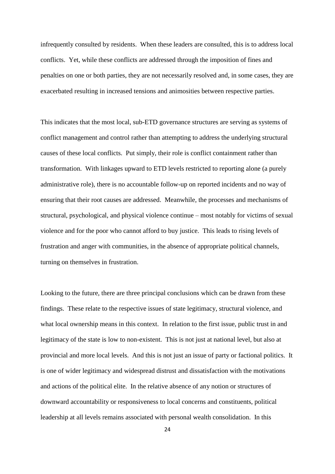infrequently consulted by residents. When these leaders are consulted, this is to address local conflicts. Yet, while these conflicts are addressed through the imposition of fines and penalties on one or both parties, they are not necessarily resolved and, in some cases, they are exacerbated resulting in increased tensions and animosities between respective parties.

This indicates that the most local, sub-ETD governance structures are serving as systems of conflict management and control rather than attempting to address the underlying structural causes of these local conflicts. Put simply, their role is conflict containment rather than transformation. With linkages upward to ETD levels restricted to reporting alone (a purely administrative role), there is no accountable follow-up on reported incidents and no way of ensuring that their root causes are addressed. Meanwhile, the processes and mechanisms of structural, psychological, and physical violence continue – most notably for victims of sexual violence and for the poor who cannot afford to buy justice. This leads to rising levels of frustration and anger with communities, in the absence of appropriate political channels, turning on themselves in frustration.

Looking to the future, there are three principal conclusions which can be drawn from these findings. These relate to the respective issues of state legitimacy, structural violence, and what local ownership means in this context. In relation to the first issue, public trust in and legitimacy of the state is low to non-existent. This is not just at national level, but also at provincial and more local levels. And this is not just an issue of party or factional politics. It is one of wider legitimacy and widespread distrust and dissatisfaction with the motivations and actions of the political elite. In the relative absence of any notion or structures of downward accountability or responsiveness to local concerns and constituents, political leadership at all levels remains associated with personal wealth consolidation. In this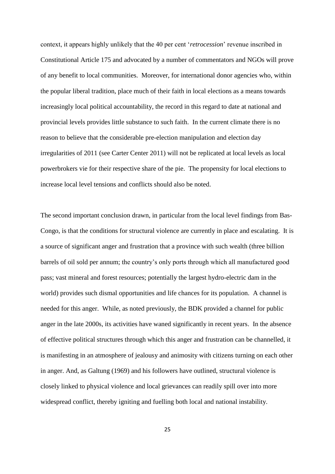context, it appears highly unlikely that the 40 per cent '*retrocession*' revenue inscribed in Constitutional Article 175 and advocated by a number of commentators and NGOs will prove of any benefit to local communities. Moreover, for international donor agencies who, within the popular liberal tradition, place much of their faith in local elections as a means towards increasingly local political accountability, the record in this regard to date at national and provincial levels provides little substance to such faith. In the current climate there is no reason to believe that the considerable pre-election manipulation and election day irregularities of 2011 (see Carter Center 2011) will not be replicated at local levels as local powerbrokers vie for their respective share of the pie. The propensity for local elections to increase local level tensions and conflicts should also be noted.

The second important conclusion drawn, in particular from the local level findings from Bas-Congo, is that the conditions for structural violence are currently in place and escalating. It is a source of significant anger and frustration that a province with such wealth (three billion barrels of oil sold per annum; the country's only ports through which all manufactured good pass; vast mineral and forest resources; potentially the largest hydro-electric dam in the world) provides such dismal opportunities and life chances for its population. A channel is needed for this anger. While, as noted previously, the BDK provided a channel for public anger in the late 2000s, its activities have waned significantly in recent years. In the absence of effective political structures through which this anger and frustration can be channelled, it is manifesting in an atmosphere of jealousy and animosity with citizens turning on each other in anger. And, as Galtung (1969) and his followers have outlined, structural violence is closely linked to physical violence and local grievances can readily spill over into more widespread conflict, thereby igniting and fuelling both local and national instability.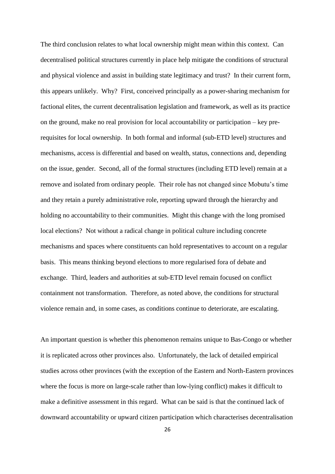The third conclusion relates to what local ownership might mean within this context. Can decentralised political structures currently in place help mitigate the conditions of structural and physical violence and assist in building state legitimacy and trust? In their current form, this appears unlikely. Why? First, conceived principally as a power-sharing mechanism for factional elites, the current decentralisation legislation and framework, as well as its practice on the ground, make no real provision for local accountability or participation – key prerequisites for local ownership. In both formal and informal (sub-ETD level) structures and mechanisms, access is differential and based on wealth, status, connections and, depending on the issue, gender. Second, all of the formal structures (including ETD level) remain at a remove and isolated from ordinary people. Their role has not changed since Mobutu's time and they retain a purely administrative role, reporting upward through the hierarchy and holding no accountability to their communities. Might this change with the long promised local elections? Not without a radical change in political culture including concrete mechanisms and spaces where constituents can hold representatives to account on a regular basis. This means thinking beyond elections to more regularised fora of debate and exchange. Third, leaders and authorities at sub-ETD level remain focused on conflict containment not transformation. Therefore, as noted above, the conditions for structural violence remain and, in some cases, as conditions continue to deteriorate, are escalating.

An important question is whether this phenomenon remains unique to Bas-Congo or whether it is replicated across other provinces also. Unfortunately, the lack of detailed empirical studies across other provinces (with the exception of the Eastern and North-Eastern provinces where the focus is more on large-scale rather than low-lying conflict) makes it difficult to make a definitive assessment in this regard. What can be said is that the continued lack of downward accountability or upward citizen participation which characterises decentralisation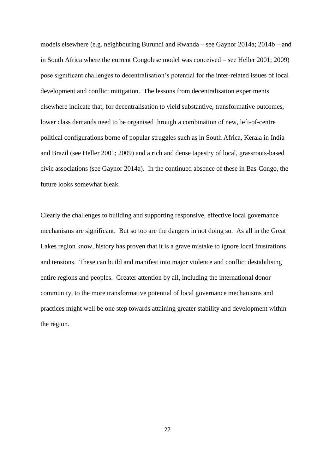models elsewhere (e.g. neighbouring Burundi and Rwanda – see Gaynor 2014a; 2014b – and in South Africa where the current Congolese model was conceived – see Heller 2001; 2009) pose significant challenges to decentralisation's potential for the inter-related issues of local development and conflict mitigation. The lessons from decentralisation experiments elsewhere indicate that, for decentralisation to yield substantive, transformative outcomes, lower class demands need to be organised through a combination of new, left-of-centre political configurations borne of popular struggles such as in South Africa, Kerala in India and Brazil (see Heller 2001; 2009) and a rich and dense tapestry of local, grassroots-based civic associations (see Gaynor 2014a). In the continued absence of these in Bas-Congo, the future looks somewhat bleak.

Clearly the challenges to building and supporting responsive, effective local governance mechanisms are significant. But so too are the dangers in not doing so. As all in the Great Lakes region know, history has proven that it is a grave mistake to ignore local frustrations and tensions. These can build and manifest into major violence and conflict destabilising entire regions and peoples. Greater attention by all, including the international donor community, to the more transformative potential of local governance mechanisms and practices might well be one step towards attaining greater stability and development within the region.

27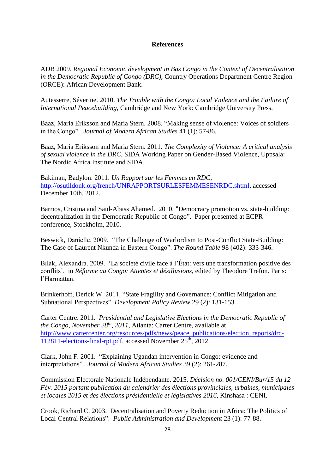## **References**

ADB 2009. *Regional Economic development in Bas Congo in the Context of Decentralisation in the Democratic Republic of Congo (DRC),* Country Operations Department Centre Region (ORCE): African Development Bank.

Autesserre, Séverine. 2010. *The Trouble with the Congo: Local Violence and the Failure of International Peacebuilding,* Cambridge and New York: Cambridge University Press.

Baaz, Maria Eriksson and Maria Stern. 2008. "Making sense of violence: Voices of soldiers in the Congo". *Journal of Modern African Studies* 41 (1): 57-86.

Baaz, Maria Eriksson and Maria Stern. 2011. *The Complexity of Violence: A critical analysis of sexual violence in the DRC,* SIDA Working Paper on Gender-Based Violence, Uppsala: The Nordic Africa Institute and SIDA.

Bakiman, Badylon. 2011. *Un Rapport sur les Femmes en RDC*, [http://osutildonk.org/french/UNRAPPORTSURLESFEMMESENRDC.shtml,](http://osutildonk.org/french/UNRAPPORTSURLESFEMMESENRDC.shtml) accessed December 10th, 2012.

Barrios, Cristina and Said-Abass Ahamed. 2010. "Democracy promotion vs. state-building: decentralization in the Democratic Republic of Congo". Paper presented at ECPR conference, Stockholm, 2010.

Beswick, Danielle. 2009. "The Challenge of Warlordism to Post-Conflict State-Building: The Case of Laurent Nkunda in Eastern Congo". *The Round Table* 98 (402): 333-346.

Bilak, Alexandra. 2009. 'La societé civile face à l'État: vers une transformation positive des conflits'. in *Réforme au Congo: Attentes et désillusions,* edited by Theodore Trefon. Paris: l'Harmattan.

Brinkerhoff, Derick W. 2011. "State Fragility and Governance: Conflict Mitigation and Subnational Perspectives". *Development Policy Review* 29 (2): 131-153.

Carter Centre. 2011. *Presidential and Legislative Elections in the Democratic Republic of the Congo, November 28th, 2011,* Atlanta: Carter Centre, available at [http://www.cartercenter.org/resources/pdfs/news/peace\\_publications/election\\_reports/drc-](http://www.cartercenter.org/resources/pdfs/news/peace_publications/election_reports/drc-112811-elections-final-rpt.pdf)[112811-elections-final-rpt.pdf,](http://www.cartercenter.org/resources/pdfs/news/peace_publications/election_reports/drc-112811-elections-final-rpt.pdf) accessed November 25<sup>th</sup>, 2012.

Clark, John F. 2001. "Explaining Ugandan intervention in Congo: evidence and interpretations". *Journal of Modern African Studies* 39 (2): 261-287.

Commission Electorale Nationale Indépendante. 2015. *Décision no. 001/CENI/Bur/15 du 12 Fév. 2015 portant publication du calendrier des élections provinciales, urbaines, municipales et locales 2015 et des élections présidentielle et législatives 2016,* Kinshasa : CENI.

Crook, Richard C. 2003. Decentralisation and Poverty Reduction in Africa: The Politics of Local-Central Relations". *Public Administration and Development* 23 (1): 77-88.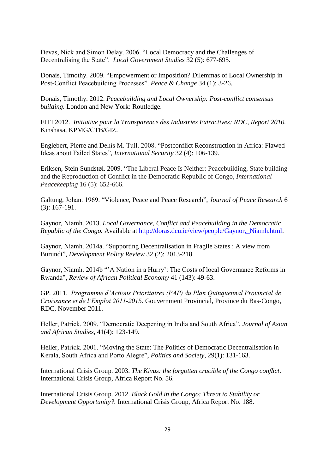Devas, Nick and Simon Delay. 2006. "Local Democracy and the Challenges of Decentralising the State". *Local Government Studies* 32 (5): 677-695.

Donais, Timothy. 2009. "Empowerment or Imposition? Dilemmas of Local Ownership in Post-Conflict Peacebuilding Processes". *Peace & Change* 34 (1): 3-26.

Donais, Timothy. 2012. *Peacebuilding and Local Ownership: Post-conflict consensus building.* London and New York: Routledge.

EITI 2012. *Initiative pour la Transparence des Industries Extractives: RDC, Report 2010.* Kinshasa, KPMG/CTB/GIZ.

Englebert, Pierre and Denis M. Tull. 2008. "Postconflict Reconstruction in Africa: Flawed Ideas about Failed States", *International Security* 32 (4): 106-139.

Eriksen, Stein Sundstøl. 2009. "The Liberal Peace Is Neither: Peacebuilding, State building and the Reproduction of Conflict in the Democratic Republic of Congo, *International Peacekeeping* 16 (5): 652-666.

Galtung, Johan. 1969. "Violence, Peace and Peace Research", *Journal of Peace Research* 6 (3): 167-191.

Gaynor, Niamh. 2013. *Local Governance, Conflict and Peacebuilding in the Democratic Republic of the Congo.* Available at http://doras.dcu.ie/view/people/Gaynor, Niamh.html.

Gaynor, Niamh. 2014a. "Supporting Decentralisation in Fragile States : A view from Burundi", *Development Policy Review* 32 (2): 2013-218.

Gaynor, Niamh. 2014b "'A Nation in a Hurry': The Costs of local Governance Reforms in Rwanda", *Review of African Political Economy* 41 (143): 49-63.

GP. 2011. *Programme d'Actions Prioritaires (PAP) du Plan Quinquennal Provincial de Croissance et de l'Emploi 2011-2015.* Gouvernment Provincial, Province du Bas-Congo, RDC, November 2011.

Heller, Patrick. 2009. "Democratic Deepening in India and South Africa", *Journal of Asian and African Studies*, 41(4): 123-149.

Heller, Patrick. 2001. "Moving the State: The Politics of Democratic Decentralisation in Kerala, South Africa and Porto Alegre", *Politics and Society*, 29(1): 131-163.

International Crisis Group. 2003. *The Kivus: the forgotten crucible of the Congo conflict*. International Crisis Group, Africa Report No. 56.

International Crisis Group. 2012. *Black Gold in the Congo: Threat to Stability or Development Opportunity?.* International Crisis Group, Africa Report No. 188.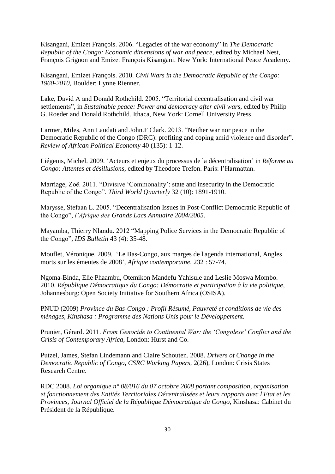Kisangani, Emizet François. 2006. "Legacies of the war economy" in *The Democratic Republic of the Congo: Economic dimensions of war and peace,* edited by Michael Nest, François Grignon and Emizet François Kisangani. New York: International Peace Academy.

Kisangani, Emizet François. 2010. *Civil Wars in the Democratic Republic of the Congo: 1960-2010,* Boulder: Lynne Rienner.

Lake, David A and Donald Rothchild. 2005. "Territorial decentralisation and civil war settlements", in *Sustainable peace: Power and democracy after civil wars*, edited by Philip G. Roeder and Donald Rothchild*.* Ithaca, New York: Cornell University Press.

Larmer, Miles, Ann Laudati and John.F Clark. 2013. "Neither war nor peace in the Democratic Republic of the Congo (DRC): profiting and coping amid violence and disorder". *Review of African Political Economy* 40 (135): 1-12.

Liégeois, Michel. 2009. 'Acteurs et enjeux du processus de la décentralisation' in *Réforme au Congo: Attentes et désillusions,* edited by Theodore Trefon. Paris: l'Harmattan.

Marriage, Zoë. 2011. "Divisive 'Commonality': state and insecurity in the Democratic Republic of the Congo". *Third World Quarterly* 32 (10): 1891-1910.

Marysse, Stefaan L. 2005. "Decentralisation Issues in Post-Conflict Democratic Republic of the Congo", *l'Afrique des Grands Lacs Annuaire 2004/2005.*

Mayamba, Thierry Nlandu. 2012 "Mapping Police Services in the Democratic Republic of the Congo", *IDS Bulletin* 43 (4): 35-48.

Mouflet, Véronique. 2009. 'Le Bas-Congo, aux marges de l'agenda international, Angles morts sur les émeutes de 2008', *Afrique contemporaine*, 232 : 57-74.

Ngoma-Binda, Elie Phaambu, Otemikon Mandefu Yahisule and Leslie Moswa Mombo. 2010. *République Démocratique du Congo: Démocratie et participation à la vie politique,*  Johannesburg: Open Society Initiative for Southern Africa (OSISA).

PNUD (2009) *Province du Bas-Congo : Profil Résumé, Pauvreté et conditions de vie des ménages, Kinshasa : Programme des Nations Unis pour le Développement.*

Prunier, Gérard. 2011. *From Genocide to Continental War: the 'Congolese' Conflict and the Crisis of Contemporary Africa*, London: Hurst and Co.

Putzel, James, Stefan Lindemann and Claire Schouten. 2008. *Drivers of Change in the Democratic Republic of Congo, CSRC Working Papers,* 2(26), London: Crisis States Research Centre.

RDC 2008. *Loi organique n° 08/016 du 07 octobre 2008 portant composition, organisation et fonctionnement des Entités Territoriales Décentralisées et leurs rapports avec l'Etat et les Provinces, Journal Officiel de la République Démocratique du Congo*, Kinshasa: Cabinet du Président de la République.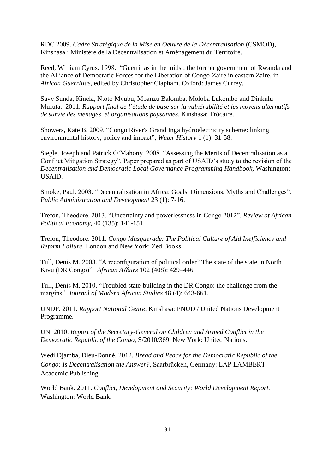RDC 2009. *Cadre Stratégique de la Mise en Oeuvre de la Décentralisation* (CSMOD), Kinshasa : Ministère de la Décentralisation et Aménagement du Territoire.

Reed, William Cyrus. 1998. "Guerrillas in the midst: the former government of Rwanda and the Alliance of Democratic Forces for the Liberation of Congo-Zaire in eastern Zaire, in *African Guerrillas*, edited by Christopher Clapham. Oxford: James Currey.

Savy Sunda, Kinela, Ntoto Mvubu, Mpanzu Balomba, Moloba Lukombo and Dinkulu Mufuta. 2011. *Rapport final de l´étude de base sur la vulnérabilité et les moyens alternatifs de survie des ménages et organisations paysannes,* Kinshasa: Trócaire.

Showers, Kate B. 2009. "Congo River's Grand Inga hydroelectricity scheme: linking environmental history, policy and impact", *Water History* 1 (1): 31-58.

Siegle, Joseph and Patrick O'Mahony. 2008. "Assessing the Merits of Decentralisation as a Conflict Mitigation Strategy", Paper prepared as part of USAID's study to the revision of the *Decentralisation and Democratic Local Governance Programming Handbook,* Washington: USAID.

Smoke, Paul. 2003. "Decentralisation in Africa: Goals, Dimensions, Myths and Challenges". *Public Administration and Development* 23 (1): 7-16.

Trefon, Theodore. 2013. "Uncertainty and powerlessness in Congo 2012". *Review of African Political Economy,* 40 (135): 141-151.

Trefon, Theodore. 2011. *Congo Masquerade: The Political Culture of Aid Inefficiency and Reform Failure.* London and New York: Zed Books.

Tull, Denis M. 2003. "A reconfiguration of political order? The state of the state in North Kivu (DR Congo)". *African A*ff*airs* 102 (408): 429–446.

Tull, Denis M. 2010. "Troubled state-building in the DR Congo: the challenge from the margins". *Journal of Modern African Studies* 48 (4): 643-661.

UNDP. 2011. *Rapport National Genre,* Kinshasa: PNUD / United Nations Development Programme.

UN. 2010. *Report of the Secretary-General on Children and Armed Conflict in the Democratic Republic of the Congo,* S/2010/369. New York: United Nations.

Wedi Djamba, Dieu-Donné. 2012. *Bread and Peace for the Democratic Republic of the Congo: Is Decentralisation the Answer?,* Saarbrűcken, Germany: LAP LAMBERT Academic Publishing.

World Bank. 2011. *Conflict, Development and Security: World Development Report.*  Washington: World Bank.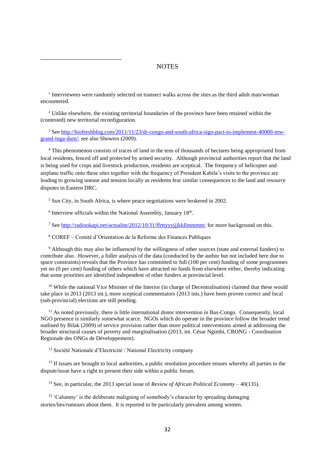#### **NOTES**

<sup>1</sup> Interviewees were randomly selected on transect walks across the sites as the third adult man/woman encountered.

<sup>2</sup> Unlike elsewhere, the existing territorial boundaries of the province have been retained within the (contested) new territorial reconfiguration.

<sup>3</sup> See [http://biofreshblog.com/2011/11/23/dr-congo-and-south-africa-sign-pact-to-implement-40000-mw](http://biofreshblog.com/2011/11/23/dr-congo-and-south-africa-sign-pact-to-implement-40000-mw-grand-inga-dam/)[grand-inga-dam/;](http://biofreshblog.com/2011/11/23/dr-congo-and-south-africa-sign-pact-to-implement-40000-mw-grand-inga-dam/) see also Showers (2009).

<sup>4</sup> This phenomenon consists of traces of land in the tens of thousands of hectares being appropriated from local residents, fenced off and protected by armed security. Although provincial authorities report that the land is being used for crops and livestock production, residents are sceptical. The frequency of helicopter and airplane traffic onto these sites together with the frequency of President Kabila's visits to the province are leading to growing unease and tension locally as residents fear similar consequences to the land and resource disputes in Eastern DRC.

<sup>5</sup> Sun City, in South Africa, is where peace negotiations were brokered in 2002.

 $6$  Interview officials within the National Assembly, January  $18<sup>th</sup>$ .

1

<sup>7</sup> See<http://radiookapi.net/actualite/2012/10/31/ffrttyyyjjjkkllmmmm/> for more background on this.

<sup>8</sup> COREF – Comité d'Orientation de la Reforme des Finances Publiques

<sup>9</sup> Although this may also be influenced by the willingness of other sources (state and external funders) to contribute also. However, a fuller analysis of the data (conducted by the author but not included here due to space constraints) reveals that the Province has committed to full (100 per cent) funding of some programmes yet no (0 per cent) funding of others which have attracted no funds from elsewhere either, thereby indicating that some priorities are identified independent of other funders at provincial level.

<sup>10</sup> While the national Vice Minister of the Interior (in charge of Decentralisation) claimed that these would take place in 2013 (2013 int.), more sceptical commentators (2013 ints.) have been proven correct and local (sub-provincial) elections are still pending.

 $11$  As noted previously, there is little international donor intervention in Bas-Congo. Consequently, local NGO presence is similarly somewhat scarce. NGOs which do operate in the province follow the broader trend outlined by Bilak (2009) of service provision rather than more political interventions aimed at addressing the broader structural causes of poverty and marginalisation (2013, int. César Ngimbi, CRONG - Coordination Regionale des ONGs de Développement).

<sup>12</sup> Société Nationale d'Electricité / National Electricity company

<sup>13</sup> If issues are brought to local authorities, a public resolution procedure ensues whereby all parties to the dispute/issue have a right to present their side within a public forum.

<sup>14</sup> See, in particular, the 2013 special issue of *Review of African Political Economy* – 40(135).

<sup>15</sup> 'Calumny' is the deliberate maligning of somebody's character by spreading damaging stories/lies/rumours about them. It is reported to be particularly prevalent among women.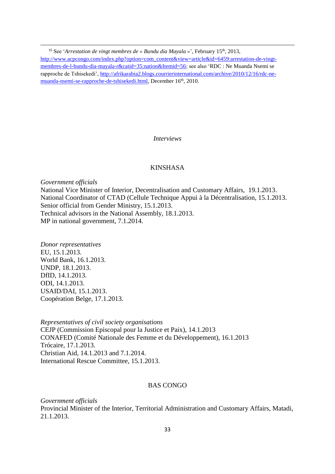1 <sup>16</sup> See '*Arrestation de vingt membres de « Bundu dia Mayala »*', February 15<sup>th</sup>, 2013, [http://www.acpcongo.com/index.php?option=com\\_content&view=article&id=6459:arrestation-de-vingt](http://www.acpcongo.com/index.php?option=com_content&view=article&id=6459:arrestation-de-vingt-membres-de-l-bundu-dia-mayala-r&catid=35:nation&Itemid=56)[membres-de-l-bundu-dia-mayala-r&catid=35:nation&Itemid=56;](http://www.acpcongo.com/index.php?option=com_content&view=article&id=6459:arrestation-de-vingt-membres-de-l-bundu-dia-mayala-r&catid=35:nation&Itemid=56) see also 'RDC : Ne Muanda Nsemi se rapproche de Tshisekedi', [http://afrikarabia2.blogs.courrierinternational.com/archive/2010/12/16/rdc-ne](http://afrikarabia2.blogs.courrierinternational.com/archive/2010/12/16/rdc-ne-muanda-nsemi-se-rapproche-de-tshisekedi.html)[muanda-nsemi-se-rapproche-de-tshisekedi.html,](http://afrikarabia2.blogs.courrierinternational.com/archive/2010/12/16/rdc-ne-muanda-nsemi-se-rapproche-de-tshisekedi.html) December 16<sup>th</sup>, 2010.

*Interviews*

## KINSHASA

*Government officials* National Vice Minister of Interior, Decentralisation and Customary Affairs, 19.1.2013. National Coordinator of CTAD (Cellule Technique Appui à la Décentralisation, 15.1.2013. Senior official from Gender Ministry, 15.1.2013. Technical advisors in the National Assembly, 18.1.2013. MP in national government, 7.1.2014.

*Donor representatives* EU, 15.1.2013. World Bank, 16.1.2013. UNDP, 18.1.2013. DfID, 14.1.2013. ODI, 14.1.2013. USAID/DAI, 15.1.2013. Coopération Belge, 17.1.2013.

*Representatives of civil society organisations* CEJP (Commission Episcopal pour la Justice et Paix), 14.1.2013 CONAFED (Comité Nationale des Femme et du Développement), 16.1.2013 Trócaire, 17.1.2013. Christian Aid, 14.1.2013 and 7.1.2014. International Rescue Committee, 15.1.2013.

## BAS CONGO

*Government officials* Provincial Minister of the Interior, Territorial Administration and Customary Affairs, Matadi, 21.1.2013.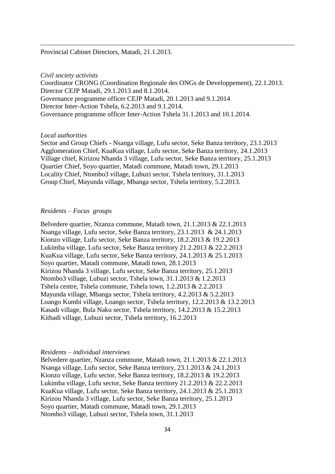Provincial Cabinet Directors, Matadi, 21.1.2013.

#### *Civil society activists*

1

Coordinator CRONG (Coordination Regionale des ONGs de Developpement), 22.1.2013. Director CEJP Matadi, 29.1.2013 and 8.1.2014. Governance programme officer CEJP Matadi, 20.1.2013 and 9.1.2014 Director Inter-Action Tshela, 6.2.2013 and 9.1.2014. Governance programme officer Inter-Action Tshela 31.1.2013 and 10.1.2014.

#### *Local authorities*

Sector and Group Chiefs - Nsanga village, Lufu sector, Seke Banza territory, 23.1.2013 Agglomeration Chief, KuaKua village, Lufu sector, Seke Banza territory, 24.1.2013 Village chief, Kirizou Nhanda 3 village, Lufu sector, Seke Banza territory, 25.1.2013 Quartier Chief, Soyo quartier, Matadi commune, Matadi town, 29.1.2013 Locality Chief, Ntombo3 village, Lubuzi sector, Tshela territory, 31.1.2013 Group Chief, Mayunda village, Mbanga sector, Tshela territory, 5.2.2013.

#### *Residents – Focus groups*

Belvedere quartier, Nzanza commune, Matadi town, 21.1.2013 & 22.1.2013 Nsanga village, Lufu sector, Seke Banza territory, 23.1.2013 & 24.1.2013 Kionzo village, Lufu sector, Seke Banza territory, 18.2.2013 & 19.2.2013 Lukimba village, Lufu sector, Seke Banza territory 21.2.2013 & 22.2.2013 KuaKua village, Lufu sector, Seke Banza territory, 24.1.2013 & 25.1.2013 Soyo quartier, Matadi commune, Matadi town, 28.1.2013 Kirizou Nhanda 3 village, Lufu sector, Seke Banza territory, 25.1.2013 Ntombo3 village, Lubuzi sector, Tshela town, 31.1.2013 & 1.2.2013 Tshela centre, Tshela commune, Tshela town, 1.2.2013 & 2.2.2013 Mayunda village, Mbanga sector, Tshela territory, 4.2.2013 & 5.2.2013 Loango Kumbi village, Loango sector, Tshela territory, 12.2.2013 & 13.2.2013 Kasadi village, Bula Naku sector, Tshela territory, 14.2.2013 & 15.2.2013 Kithadi village, Lubuzi sector, Tshela territory, 16.2.2013

#### *Residents – individual interviews*

Belvedere quartier, Nzanza commune, Matadi town, 21.1.2013 & 22.1.2013 Nsanga village, Lufu sector, Seke Banza territory, 23.1.2013 & 24.1.2013 Kionzo village, Lufu sector, Seke Banza territory, 18.2.2013 & 19.2.2013 Lukimba village, Lufu sector, Seke Banza territory 21.2.2013 & 22.2.2013 KuaKua village, Lufu sector, Seke Banza territory, 24.1.2013 & 25.1.2013 Kirizou Nhanda 3 village, Lufu sector, Seke Banza territory, 25.1.2013 Soyo quartier, Matadi commune, Matadi town, 29.1.2013 Ntombo3 village, Lubuzi sector, Tshela town, 31.1.2013